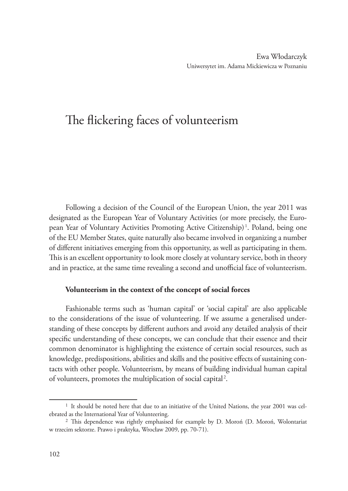# The flickering faces of volunteerism

Following a decision of the Council of the European Union, the year 2011 was designated as the European Year of Voluntary Activities (or more precisely, the European Year of Voluntary Activities Promoting Active Citizenship)<sup>1</sup>. Poland, being one of the EU Member States, quite naturally also became involved in organizing a number of different initiatives emerging from this opportunity, as well as participating in them. This is an excellent opportunity to look more closely at voluntary service, both in theory and in practice, at the same time revealing a second and unofficial face of volunteerism.

### **Volunteerism in the context of the concept of social forces**

Fashionable terms such as 'human capital' or 'social capital' are also applicable to the considerations of the issue of volunteering. If we assume a generalised understanding of these concepts by different authors and avoid any detailed analysis of their specific understanding of these concepts, we can conclude that their essence and their common denominator is highlighting the existence of certain social resources, such as knowledge, predispositions, abilities and skills and the positive effects of sustaining contacts with other people. Volunteerism, by means of building individual human capital of volunteers, promotes the multiplication of social capital<sup>2</sup>.

<sup>1</sup> It should be noted here that due to an initiative of the United Nations, the year 2001 was celebrated as the International Year of Volunteering.

<sup>2</sup> This dependence was rightly emphasised for example by D. Moroń (D. Moroń, Wolontariat w trzecim sektorze. Prawo i praktyka, Wrocław 2009, pp. 70-71).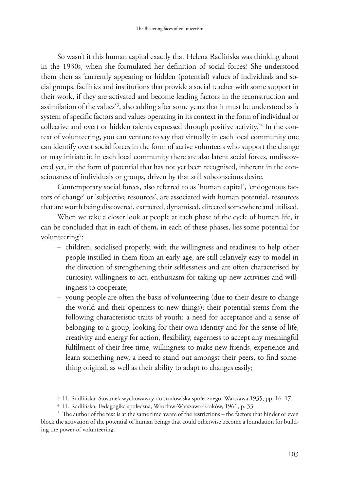So wasn't it this human capital exactly that Helena Radlińska was thinking about in the 1930s, when she formulated her definition of social forces? She understood them then as 'currently appearing or hidden (potential) values of individuals and social groups, facilities and institutions that provide a social teacher with some support in their work, if they are activated and become leading factors in the reconstruction and assimilation of the values'<sup>3</sup>, also adding after some years that it must be understood as 'a system of specific factors and values operating in its context in the form of individual or collective and overt or hidden talents expressed through positive activity.<sup>24</sup> In the context of volunteering, you can venture to say that virtually in each local community one can identify overt social forces in the form of active volunteers who support the change or may initiate it; in each local community there are also latent social forces, undiscovered yet, in the form of potential that has not yet been recognised, inherent in the consciousness of individuals or groups, driven by that still subconscious desire.

Contemporary social forces, also referred to as 'human capital', 'endogenous factors of change' or 'subjective resources', are associated with human potential, resources that are worth being discovered, extracted, dynamised, directed somewhere and utilised.

When we take a closer look at people at each phase of the cycle of human life, it can be concluded that in each of them, in each of these phases, lies some potential for volunteering<sup>5</sup>:

- children, socialised properly, with the willingness and readiness to help other people instilled in them from an early age, are still relatively easy to model in the direction of strengthening their selflessness and are often characterised by curiosity, willingness to act, enthusiasm for taking up new activities and willingness to cooperate;
- young people are often the basis of volunteering (due to their desire to change the world and their openness to new things); their potential stems from the following characteristic traits of youth: a need for acceptance and a sense of belonging to a group, looking for their own identity and for the sense of life, creativity and energy for action, flexibility, eagerness to accept any meaningful fulfilment of their free time, willingness to make new friends, experience and learn something new, a need to stand out amongst their peers, to find something original, as well as their ability to adapt to changes easily;

<sup>3</sup> H. Radlińska, Stosunek wychowawcy do środowiska społecznego, Warszawa 1935, pp. 16–17.

<sup>4</sup> H. Radlińska, Pedagogika społeczna, Wrocław-Warszawa-Kraków, 1961, p. 33.

<sup>5</sup> The author of the text is at the same time aware of the restrictions – the factors that hinder or even block the activation of the potential of human beings that could otherwise become a foundation for building the power of volunteering.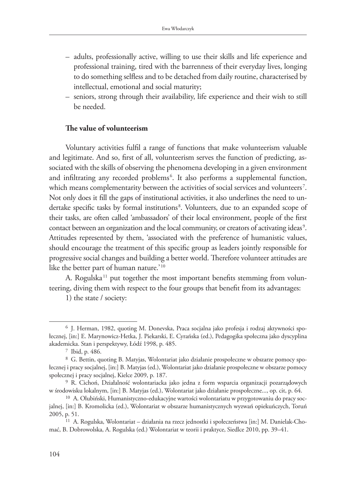- adults, professionally active, willing to use their skills and life experience and professional training, tired with the barrenness of their everyday lives, longing to do something selfless and to be detached from daily routine, characterised by intellectual, emotional and social maturity;
- seniors, strong through their availability, life experience and their wish to still be needed.

## **The value of volunteerism**

Voluntary activities fulfil a range of functions that make volunteerism valuable and legitimate. And so, first of all, volunteerism serves the function of predicting, associated with the skills of observing the phenomena developing in a given environment and infiltrating any recorded problems<sup>6</sup>. It also performs a supplemental function, which means complementarity between the activities of social services and volunteers<sup>7</sup>. Not only does it fill the gaps of institutional activities, it also underlines the need to undertake specific tasks by formal institutions<sup>8</sup>. Volunteers, due to an expanded scope of their tasks, are often called 'ambassadors' of their local environment, people of the first contact between an organization and the local community, or creators of activating ideas<sup>9</sup>. Attitudes represented by them, 'associated with the preference of humanistic values, should encourage the treatment of this specific group as leaders jointly responsible for progressive social changes and building a better world. Therefore volunteer attitudes are like the better part of human nature.'<sup>10</sup>

A. Rogulska<sup>11</sup> put together the most important benefits stemming from volunteering, diving them with respect to the four groups that benefit from its advantages:

1) the state / society:

<sup>6</sup> J. Herman, 1982, quoting M. Donevska, Praca socjalna jako profesja i rodzaj aktywności społecznej, [in:] E. Marynowicz-Hetka, J. Piekarski, E. Cyrańska (ed.), Pedagogika społeczna jako dyscyplina akademicka. Stan i perspektywy, Łódź 1998, p. 485.

<sup>7</sup> Ibid, p. 486.

<sup>8</sup> G. Bettin, quoting B. Matyjas, Wolontariat jako działanie prospołeczne w obszarze pomocy społecznej i pracy socjalnej, [in:] B. Matyjas (ed.), Wolontariat jako działanie prospołeczne w obszarze pomocy społecznej i pracy socjalnej, Kielce 2009, p. 187.

<sup>9</sup> R. Cichoń, Działalność wolontariacka jako jedna z form wsparcia organizacji pozarządowych w środowisku lokalnym, [in:] B. Matyjas (ed.), Wolontariat jako działanie prospołeczne..., op. cit, p. 64.

<sup>10</sup> A. Olubiński, Humanistyczno-edukacyjne wartości wolontariatu w przygotowaniu do pracy socjalnej, [in:] B. Kromolicka (ed.), Wolontariat w obszarze humanistycznych wyzwań opiekuńczych, Toruń 2005, p. 51.

<sup>11</sup> A. Rogulska, Wolontariat – działania na rzecz jednostki i społeczeństwa [in:] M. Danielak-Chomać, B. Dobrowolska, A. Rogulska (ed.) Wolontariat w teorii i praktyce, Siedlce 2010, pp. 39–41.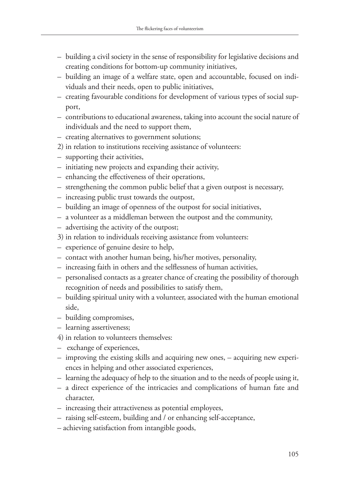- building a civil society in the sense of responsibility for legislative decisions and creating conditions for bottom-up community initiatives,
- building an image of a welfare state, open and accountable, focused on individuals and their needs, open to public initiatives,
- creating favourable conditions for development of various types of social support,
- contributions to educational awareness, taking into account the social nature of individuals and the need to support them,
- creating alternatives to government solutions;
- 2) in relation to institutions receiving assistance of volunteers:
- supporting their activities,
- initiating new projects and expanding their activity,
- enhancing the effectiveness of their operations,
- strengthening the common public belief that a given outpost is necessary,
- increasing public trust towards the outpost,
- building an image of openness of the outpost for social initiatives,
- a volunteer as a middleman between the outpost and the community,
- advertising the activity of the outpost;
- 3) in relation to individuals receiving assistance from volunteers:
- experience of genuine desire to help,
- contact with another human being, his/her motives, personality,
- increasing faith in others and the selflessness of human activities,
- personalised contacts as a greater chance of creating the possibility of thorough recognition of needs and possibilities to satisfy them,
- building spiritual unity with a volunteer, associated with the human emotional side,
- building compromises,
- learning assertiveness;
- 4) in relation to volunteers themselves:
- exchange of experiences,
- improving the existing skills and acquiring new ones, acquiring new experiences in helping and other associated experiences,
- learning the adequacy of help to the situation and to the needs of people using it,
- a direct experience of the intricacies and complications of human fate and character,
- increasing their attractiveness as potential employees,
- raising self-esteem, building and / or enhancing self-acceptance,
- achieving satisfaction from intangible goods,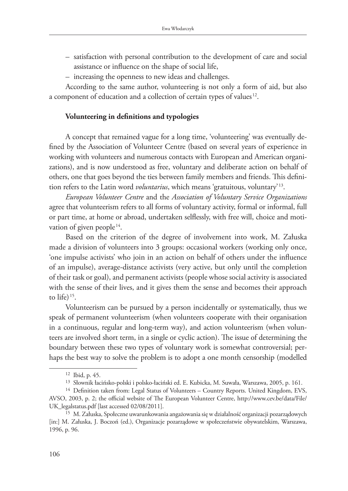- satisfaction with personal contribution to the development of care and social assistance or influence on the shape of social life,
- increasing the openness to new ideas and challenges.

According to the same author, volunteering is not only a form of aid, but also a component of education and a collection of certain types of values<sup>12</sup>.

#### **Volunteering in definitions and typologies**

A concept that remained vague for a long time, 'volunteering' was eventually defined by the Association of Volunteer Centre (based on several years of experience in working with volunteers and numerous contacts with European and American organizations), and is now understood as free, voluntary and deliberate action on behalf of others, one that goes beyond the ties between family members and friends. This definition refers to the Latin word *voluntarius*, which means 'gratuitous, voluntary' 13.

*European Volunteer Centre* and the *Association of Voluntary Service Organizations* agree that volunteerism refers to all forms of voluntary activity, formal or informal, full or part time, at home or abroad, undertaken selflessly, with free will, choice and motivation of given people<sup>14</sup>.

Based on the criterion of the degree of involvement into work, M. Załuska made a division of volunteers into 3 groups: occasional workers (working only once, 'one impulse activists' who join in an action on behalf of others under the influence of an impulse), average-distance activists (very active, but only until the completion of their task or goal), and permanent activists (people whose social activity is associated with the sense of their lives, and it gives them the sense and becomes their approach to life) $15$ .

Volunteerism can be pursued by a person incidentally or systematically, thus we speak of permanent volunteerism (when volunteers cooperate with their organisation in a continuous, regular and long-term way), and action volunteerism (when volunteers are involved short term, in a single or cyclic action). The issue of determining the boundary between these two types of voluntary work is somewhat controversial; perhaps the best way to solve the problem is to adopt a one month censorship (modelled

<sup>12</sup> Ibid, p. 45.

<sup>13</sup> Słownik łacińsko-polski i polsko-łaciński ed. E. Kubicka, M. Suwała, Warszawa, 2005, p. 161.

<sup>&</sup>lt;sup>14</sup> Definition taken from: Legal Status of Volunteers – Country Reports. United Kingdom, EVS, AVSO, 2003, p. 2; the official website of The European Volunteer Centre, http://www.cev.be/data/File/ UK\_legalstatus.pdf [last accessed 02/08/2011].

<sup>15</sup> M. Załuska, Społeczne uwarunkowania angażowania się w działalność organizacji pozarządowych [in:] M. Załuska, J. Boczoń (ed.), Organizacje pozarządowe w społeczeństwie obywatelskim, Warszawa, 1996, p. 96.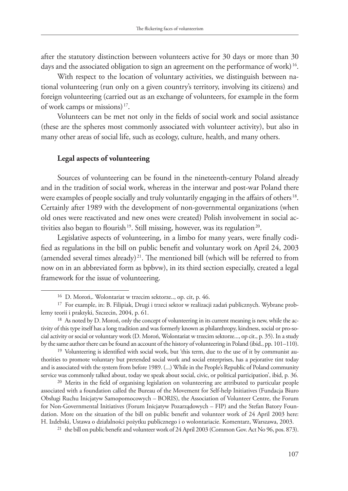after the statutory distinction between volunteers active for 30 days or more than 30 days and the associated obligation to sign an agreement on the performance of work) 16.

With respect to the location of voluntary activities, we distinguish between national volunteering (run only on a given country's territory, involving its citizens) and foreign volunteering (carried out as an exchange of volunteers, for example in the form of work camps or missions) 17.

Volunteers can be met not only in the fields of social work and social assistance (these are the spheres most commonly associated with volunteer activity), but also in many other areas of social life, such as ecology, culture, health, and many others.

#### **Legal aspects of volunteering**

Sources of volunteering can be found in the nineteenth-century Poland already and in the tradition of social work, whereas in the interwar and post-war Poland there were examples of people socially and truly voluntarily engaging in the affairs of others<sup>18</sup>. Certainly after 1989 with the development of non-governmental organizations (when old ones were reactivated and new ones were created) Polish involvement in social activities also began to flourish<sup>19</sup>. Still missing, however, was its regulation<sup>20</sup>.

Legislative aspects of volunteering, in a limbo for many years, were finally codified as regulations in the bill on public benefit and voluntary work on April 24, 2003 (amended several times already)<sup>21</sup>. The mentioned bill (which will be referred to from now on in an abbreviated form as bpbvw), in its third section especially, created a legal framework for the issue of volunteering.

<sup>16</sup> D. Moroń,. Wolontariat w trzecim sektorze.., op. cit, p. 46.

<sup>17</sup> For example, in: B. Filipiak, Drugi i trzeci sektor w realizacji zadań publicznych. Wybrane problemy teorii i praktyki, Szczecin, 2004, p. 61.

<sup>&</sup>lt;sup>18</sup> As noted by D. Moroń, only the concept of volunteering in its current meaning is new, while the activity of this type itself has a long tradition and was formerly known as philanthropy, kindness, social or pro-social activity or social or voluntary work (D. Moroń, Wolontariat w trzecim sektorze..., op cit., p. 35). In a study by the same author there can be found an account of the history of volunteering in Poland (ibid., pp. 101–110).

<sup>&</sup>lt;sup>19</sup> Volunteering is identified with social work, but 'this term, due to the use of it by communist authorities to promote voluntary but pretended social work and social enterprises, has a pejorative tint today and is associated with the system from before 1989. (...) While in the People's Republic of Poland community service was commonly talked about, today we speak about social, civic, or political participation', ibid, p. 36.

<sup>20</sup> Merits in the field of organising legislation on volunteering are attributed to particular people associated with a foundation called the Bureau of the Movement for Self-help Initiatives (Fundacja Biuro Obsługi Ruchu Inicjatyw Samopomocowych – BORIS), the Association of Volunteer Centre, the Forum for Non-Governmental Initiatives (Forum Inicjatyw Pozarządowych – FIP) and the Stefan Batory Foundation. More on the situation of the bill on public benefit and volunteer work of 24 April 2003 here: H. Izdebski, Ustawa o działalności pożytku publicznego i o wolontariacie. Komentarz, Warszawa, 2003.

 $21$  the bill on public benefit and volunteer work of 24 April 2003 (Common Gov. Act No 96, pos. 873).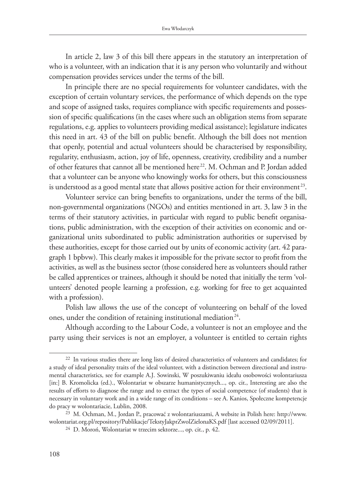In article 2, law 3 of this bill there appears in the statutory an interpretation of who is a volunteer, with an indication that it is any person who voluntarily and without compensation provides services under the terms of the bill.

In principle there are no special requirements for volunteer candidates, with the exception of certain voluntary services, the performance of which depends on the type and scope of assigned tasks, requires compliance with specific requirements and possession of specific qualifications (in the cases where such an obligation stems from separate regulations, e.g. applies to volunteers providing medical assistance); legislature indicates this need in art. 43 of the bill on public benefit. Although the bill does not mention that openly, potential and actual volunteers should be characterised by responsibility, regularity, enthusiasm, action, joy of life, openness, creativity, credibility and a number of other features that cannot all be mentioned here<sup>22</sup>. M. Ochman and P. Jordan added that a volunteer can be anyone who knowingly works for others, but this consciousness is understood as a good mental state that allows positive action for their environment<sup>23</sup>.

Volunteer service can bring benefits to organizations, under the terms of the bill, non-governmental organizations (NGOs) and entities mentioned in art. 3, law 3 in the terms of their statutory activities, in particular with regard to public benefit organisations, public administration, with the exception of their activities on economic and organizational units subordinated to public administration authorities or supervised by these authorities, except for those carried out by units of economic activity (art. 42 paragraph 1 bpbvw). This clearly makes it impossible for the private sector to profit from the activities, as well as the business sector (those considered here as volunteers should rather be called apprentices or trainees, although it should be noted that initially the term 'volunteers' denoted people learning a profession, e.g. working for free to get acquainted with a profession).

Polish law allows the use of the concept of volunteering on behalf of the loved ones, under the condition of retaining institutional mediation 24.

Although according to the Labour Code, a volunteer is not an employee and the party using their services is not an employer, a volunteer is entitled to certain rights

<sup>22</sup> In various studies there are long lists of desired characteristics of volunteers and candidates; for a study of ideal personality traits of the ideal volunteer, with a distinction between directional and instrumental characteristics, see for example A.J. Sowinski, W poszukiwaniu ideału osobowości wolontariusza [in:] B. Kromolicka (ed.)., Wolontariat w obszarze humanistycznych..., op. cit., Interesting are also the results of efforts to diagnose the range and to extract the types of social competence (of students) that is necessary in voluntary work and in a wide range of its conditions – see A. Kanios, Społeczne kompetencje do pracy w wolontariacie, Lublin, 2008.

<sup>23</sup> M. Ochman, M., Jordan P., pracować z wolontariuszami, A website in Polish here: http://www. wolontariat.org.pl/repository/Publikacje/TekstyJakprZwolZielonaKS.pdf [last accessed 02/09/2011].

<sup>24</sup> D. Moroń, Wolontariat w trzecim sektorze..., op. cit., p. 42.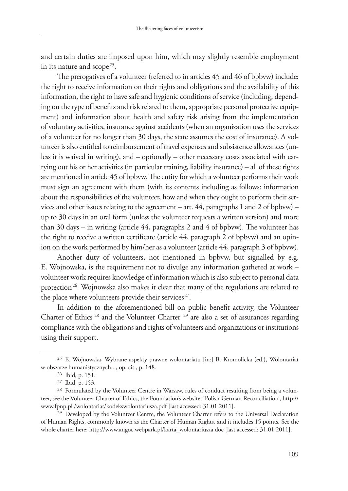and certain duties are imposed upon him, which may slightly resemble employment in its nature and scope<sup>25</sup>.

The prerogatives of a volunteer (referred to in articles 45 and 46 of bpbvw) include: the right to receive information on their rights and obligations and the availability of this information, the right to have safe and hygienic conditions of service (including, depending on the type of benefits and risk related to them, appropriate personal protective equipment) and information about health and safety risk arising from the implementation of voluntary activities, insurance against accidents (when an organization uses the services of a volunteer for no longer than 30 days, the state assumes the cost of insurance). A volunteer is also entitled to reimbursement of travel expenses and subsistence allowances (unless it is waived in writing), and – optionally – other necessary costs associated with carrying out his or her activities (in particular training, liability insurance) – all of these rights are mentioned in article 45 of bpbvw. The entity for which a volunteer performs their work must sign an agreement with them (with its contents including as follows: information about the responsibilities of the volunteer, how and when they ought to perform their services and other issues relating to the agreement – art.  $44$ , paragraphs 1 and 2 of bpbvw) – up to 30 days in an oral form (unless the volunteer requests a written version) and more than 30 days – in writing (article 44, paragraphs 2 and 4 of bpbvw). The volunteer has the right to receive a written certificate (article 44, paragraph 2 of bpbvw) and an opinion on the work performed by him/her as a volunteer (article 44, paragraph 3 of bpbvw).

Another duty of volunteers, not mentioned in bpbvw, but signalled by e.g. E. Wojnowska, is the requirement not to divulge any information gathered at work – volunteer work requires knowledge of information which is also subject to personal data protection 26. Wojnowska also makes it clear that many of the regulations are related to the place where volunteers provide their services<sup>27</sup>.

In addition to the aforementioned bill on public benefit activity, the Volunteer Charter of Ethics<sup>28</sup> and the Volunteer Charter<sup>29</sup> are also a set of assurances regarding compliance with the obligations and rights of volunteers and organizations or institutions using their support.

<sup>25</sup> E. Wojnowska, Wybrane aspekty prawne wolontariatu [in:] B. Kromolicka (ed.), Wolontariat w obszarze humanistycznych..., op. cit., p. 148.

<sup>26</sup> Ibid, p. 151.

<sup>27</sup> Ibid, p. 153.

<sup>&</sup>lt;sup>28</sup> Formulated by the Volunteer Centre in Warsaw, rules of conduct resulting from being a volunteer, see the Volunteer Charter of Ethics, the Foundation's website, 'Polish-German Reconciliation', http:// www.fpnp.pl /wolontariat/kodekswolontariusza.pdf [last accessed: 31.01.2011].

<sup>29</sup> Developed by the Volunteer Centre, the Volunteer Charter refers to the Universal Declaration of Human Rights, commonly known as the Charter of Human Rights, and it includes 15 points. See the whole charter here: http://www.angoc.webpark.pl/karta\_wolontariusza.doc [last accessed: 31.01.2011].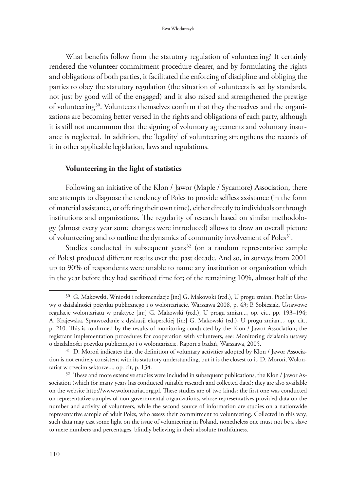What benefits follow from the statutory regulation of volunteering? It certainly rendered the volunteer commitment procedure clearer, and by formulating the rights and obligations of both parties, it facilitated the enforcing of discipline and obliging the parties to obey the statutory regulation (the situation of volunteers is set by standards, not just by good will of the engaged) and it also raised and strengthened the prestige of volunteering 30. Volunteers themselves confirm that they themselves and the organizations are becoming better versed in the rights and obligations of each party, although it is still not uncommon that the signing of voluntary agreements and voluntary insurance is neglected. In addition, the 'legality' of volunteering strengthens the records of it in other applicable legislation, laws and regulations.

#### **Volunteering in the light of statistics**

Following an initiative of the Klon / Jawor (Maple / Sycamore) Association, there are attempts to diagnose the tendency of Poles to provide selfless assistance (in the form of material assistance, or offering their own time), either directly to individuals or through institutions and organizations. The regularity of research based on similar methodology (almost every year some changes were introduced) allows to draw an overall picture of volunteering and to outline the dynamics of community involvement of Poles<sup>31</sup>.

Studies conducted in subsequent years<sup>32</sup> (on a random representative sample of Poles) produced different results over the past decade. And so, in surveys from 2001 up to 90% of respondents were unable to name any institution or organization which in the year before they had sacrificed time for; of the remaining 10%, almost half of the

<sup>30</sup> G. Makowski, Wnioski i rekomendacje [in:] G. Makowski (red.), U progu zmian. Pięć lat Ustawy o działalności pożytku publicznego i o wolontariacie, Warszawa 2008, p. 43; P. Sobiesiak, Ustawowe regulacje wolontariatu w praktyce [in:] G. Makowski (red.), U progu zmian..., op. cit., pp. 193–194; A. Krajewska, Sprawozdanie z dyskusji eksperckiej [in:] G. Makowski (ed.), U progu zmian..., op. cit., p. 210. This is confirmed by the results of monitoring conducted by the Klon / Jawor Association; the registrant implementation procedures for cooperation with volunteers, see: Monitoring działania ustawy o działalności pożytku publicznego i o wolontariacie. Raport z badań, Warszawa, 2005.

 $31$  D. Moroń indicates that the definition of voluntary activities adopted by Klon / Jawor Association is not entirely consistent with its statutory understanding, but it is the closest to it, D. Moroń, Wolontariat w trzecim sektorze..., op. cit, p. 134.

<sup>&</sup>lt;sup>32</sup> These and more extensive studies were included in subsequent publications, the Klon / Jawor Association (which for many years has conducted suitable research and collected data); they are also available on the website http://www.wolontariat.org.pl. These studies are of two kinds: the first one was conducted on representative samples of non-governmental organizations, whose representatives provided data on the number and activity of volunteers, while the second source of information are studies on a nationwide representative sample of adult Poles, who assess their commitment to volunteering. Collected in this way, such data may cast some light on the issue of volunteering in Poland, nonetheless one must not be a slave to mere numbers and percentages, blindly believing in their absolute truthfulness.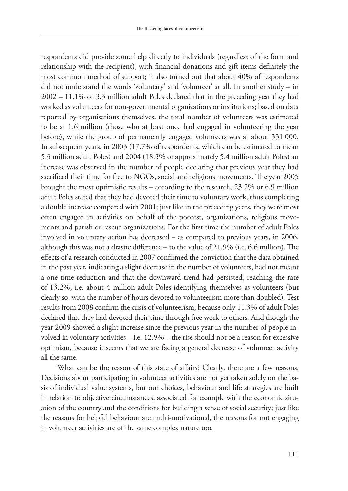respondents did provide some help directly to individuals (regardless of the form and relationship with the recipient), with financial donations and gift items definitely the most common method of support; it also turned out that about 40% of respondents did not understand the words 'voluntary' and 'volunteer' at all. In another study – in 2002 – 11.1% or 3.3 million adult Poles declared that in the preceding year they had worked as volunteers for non-governmental organizations or institutions; based on data reported by organisations themselves, the total number of volunteers was estimated to be at 1.6 million (those who at least once had engaged in volunteering the year before), while the group of permanently engaged volunteers was at about 331,000. In subsequent years, in 2003 (17.7% of respondents, which can be estimated to mean 5.3 million adult Poles) and 2004 (18.3% or approximately 5.4 million adult Poles) an increase was observed in the number of people declaring that previous year they had sacrificed their time for free to NGOs, social and religious movements. The year 2005 brought the most optimistic results – according to the research, 23.2% or 6.9 million adult Poles stated that they had devoted their time to voluntary work, thus completing a double increase compared with 2001; just like in the preceding years, they were most often engaged in activities on behalf of the poorest, organizations, religious movements and parish or rescue organizations. For the first time the number of adult Poles involved in voluntary action has decreased – as compared to previous years, in 2006, although this was not a drastic difference – to the value of 21.9% (i.e. 6.6 million). The effects of a research conducted in 2007 confirmed the conviction that the data obtained in the past year, indicating a slight decrease in the number of volunteers, had not meant a one-time reduction and that the downward trend had persisted, reaching the rate of 13.2%, i.e. about 4 million adult Poles identifying themselves as volunteers (but clearly so, with the number of hours devoted to volunteerism more than doubled). Test results from 2008 confirm the crisis of volunteerism, because only 11.3% of adult Poles declared that they had devoted their time through free work to others. And though the year 2009 showed a slight increase since the previous year in the number of people involved in voluntary activities – i.e. 12.9% – the rise should not be a reason for excessive optimism, because it seems that we are facing a general decrease of volunteer activity all the same.

What can be the reason of this state of affairs? Clearly, there are a few reasons. Decisions about participating in volunteer activities are not yet taken solely on the basis of individual value systems, but our choices, behaviour and life strategies are built in relation to objective circumstances, associated for example with the economic situation of the country and the conditions for building a sense of social security; just like the reasons for helpful behaviour are multi-motivational, the reasons for not engaging in volunteer activities are of the same complex nature too.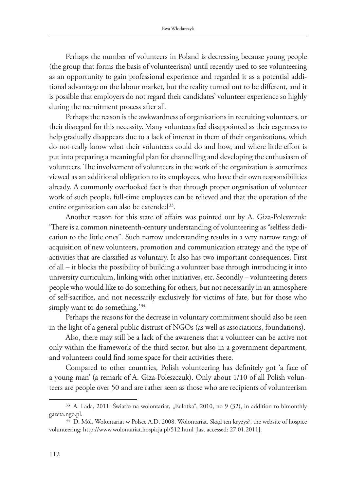Perhaps the number of volunteers in Poland is decreasing because young people (the group that forms the basis of volunteerism) until recently used to see volunteering as an opportunity to gain professional experience and regarded it as a potential additional advantage on the labour market, but the reality turned out to be different, and it is possible that employers do not regard their candidates' volunteer experience so highly during the recruitment process after all.

Perhaps the reason is the awkwardness of organisations in recruiting volunteers, or their disregard for this necessity. Many volunteers feel disappointed as their eagerness to help gradually disappears due to a lack of interest in them of their organizations, which do not really know what their volunteers could do and how, and where little effort is put into preparing a meaningful plan for channelling and developing the enthusiasm of volunteers. The involvement of volunteers in the work of the organization is sometimes viewed as an additional obligation to its employees, who have their own responsibilities already. A commonly overlooked fact is that through proper organisation of volunteer work of such people, full-time employees can be relieved and that the operation of the entire organization can also be extended<sup>33</sup>.

Another reason for this state of affairs was pointed out by A. Giza-Poleszczuk: 'There is a common nineteenth-century understanding of volunteering as "selfless dedication to the little ones". Such narrow understanding results in a very narrow range of acquisition of new volunteers, promotion and communication strategy and the type of activities that are classified as voluntary. It also has two important consequences. First of all – it blocks the possibility of building a volunteer base through introducing it into university curriculum, linking with other initiatives, etc. Secondly – volunteering deters people who would like to do something for others, but not necessarily in an atmosphere of self-sacrifice, and not necessarily exclusively for victims of fate, but for those who simply want to do something.'<sup>34</sup>

Perhaps the reasons for the decrease in voluntary commitment should also be seen in the light of a general public distrust of NGOs (as well as associations, foundations).

Also, there may still be a lack of the awareness that a volunteer can be active not only within the framework of the third sector, but also in a government department, and volunteers could find some space for their activities there.

Compared to other countries, Polish volunteering has definitely got 'a face of a young man' (a remark of A. Giza-Poleszczuk). Only about 1/10 of all Polish volunteers are people over 50 and are rather seen as those who are recipients of volunteerism

 $33$  A. Lada, 2011: Światło na wolontariat, "Eulotka", 2010, no 9 (32), in addition to bimonthly gazeta.ngo.pl.

<sup>34</sup> D. Mól, Wolontariat w Polsce A.D. 2008. Wolontariat. Skąd ten kryzys?, the website of hospice volunteering: http://www.wolontariat.hospicja.pl/512.html [last accessed: 27.01.2011].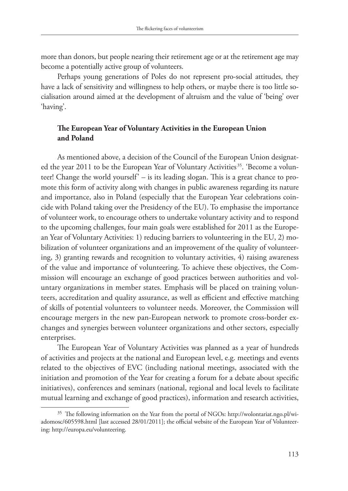more than donors, but people nearing their retirement age or at the retirement age may become a potentially active group of volunteers.

Perhaps young generations of Poles do not represent pro-social attitudes, they have a lack of sensitivity and willingness to help others, or maybe there is too little socialisation around aimed at the development of altruism and the value of 'being' over 'having'.

## **The European Year of Voluntary Activities in the European Union and Poland**

As mentioned above, a decision of the Council of the European Union designated the year 2011 to be the European Year of Voluntary Activities<sup>35</sup>. 'Become a volunteer! Change the world yourself' – is its leading slogan. This is a great chance to promote this form of activity along with changes in public awareness regarding its nature and importance, also in Poland (especially that the European Year celebrations coincide with Poland taking over the Presidency of the EU). To emphasise the importance of volunteer work, to encourage others to undertake voluntary activity and to respond to the upcoming challenges, four main goals were established for 2011 as the European Year of Voluntary Activities: 1) reducing barriers to volunteering in the EU, 2) mobilization of volunteer organizations and an improvement of the quality of volunteering, 3) granting rewards and recognition to voluntary activities, 4) raising awareness of the value and importance of volunteering. To achieve these objectives, the Commission will encourage an exchange of good practices between authorities and voluntary organizations in member states. Emphasis will be placed on training volunteers, accreditation and quality assurance, as well as efficient and effective matching of skills of potential volunteers to volunteer needs. Moreover, the Commission will encourage mergers in the new pan-European network to promote cross-border exchanges and synergies between volunteer organizations and other sectors, especially enterprises.

The European Year of Voluntary Activities was planned as a year of hundreds of activities and projects at the national and European level, e.g. meetings and events related to the objectives of EVC (including national meetings, associated with the initiation and promotion of the Year for creating a forum for a debate about specific initiatives), conferences and seminars (national, regional and local levels to facilitate mutual learning and exchange of good practices), information and research activities,

<sup>35</sup> The following information on the Year from the portal of NGOs: http://wolontariat.ngo.pl/wiadomosc/605598.html [last accessed 28/01/2011]; the official website of the European Year of Volunteering: http://europa.eu/volunteering.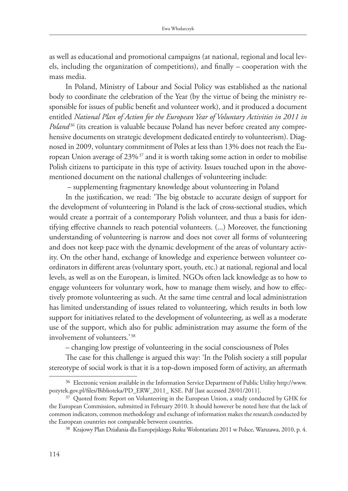as well as educational and promotional campaigns (at national, regional and local levels, including the organization of competitions), and finally – cooperation with the mass media.

In Poland, Ministry of Labour and Social Policy was established as the national body to coordinate the celebration of the Year (by the virtue of being the ministry responsible for issues of public benefit and volunteer work), and it produced a document entitled *National Plan of Action for the European Year of Voluntary Activities in 2011 in Poland<sup>36</sup>* (its creation is valuable because Poland has never before created any comprehensive documents on strategic development dedicated entirely to volunteerism). Diagnosed in 2009, voluntary commitment of Poles at less than 13% does not reach the European Union average of 23% 37 and it is worth taking some action in order to mobilise Polish citizens to participate in this type of activity. Issues touched upon in the abovementioned document on the national challenges of volunteering include:

– supplementing fragmentary knowledge about volunteering in Poland

In the justification, we read: 'The big obstacle to accurate design of support for the development of volunteering in Poland is the lack of cross-sectional studies, which would create a portrait of a contemporary Polish volunteer, and thus a basis for identifying effective channels to reach potential volunteers. (...) Moreover, the functioning understanding of volunteering is narrow and does not cover all forms of volunteering and does not keep pace with the dynamic development of the areas of voluntary activity. On the other hand, exchange of knowledge and experience between volunteer coordinators in different areas (voluntary sport, youth, etc.) at national, regional and local levels, as well as on the European, is limited. NGOs often lack knowledge as to how to engage volunteers for voluntary work, how to manage them wisely, and how to effectively promote volunteering as such. At the same time central and local administration has limited understanding of issues related to volunteering, which results in both low support for initiatives related to the development of volunteering, as well as a moderate use of the support, which also for public administration may assume the form of the involvement of volunteers.'<sup>38</sup>

– changing low prestige of volunteering in the social consciousness of Poles

The case for this challenge is argued this way: 'In the Polish society a still popular stereotype of social work is that it is a top-down imposed form of activity, an aftermath

<sup>36</sup> Electronic version available in the Information Service Department of Public Utility http://www. pozytek.gov.pl/files/Biblioteka/PD\_ERW\_2011\_ KSE. Pdf [last accessed 28/01/2011].

<sup>&</sup>lt;sup>37</sup> Quoted from: Report on Volunteering in the European Union, a study conducted by GHK for the European Commission, submitted in February 2010. It should however be noted here that the lack of common indicators, common methodology and exchange of information makes the research conducted by the European countries not comparable between countries.

<sup>38</sup> Krajowy Plan Działania dla Europejskiego Roku Wolontariatu 2011 w Polsce, Warszawa, 2010, p. 4.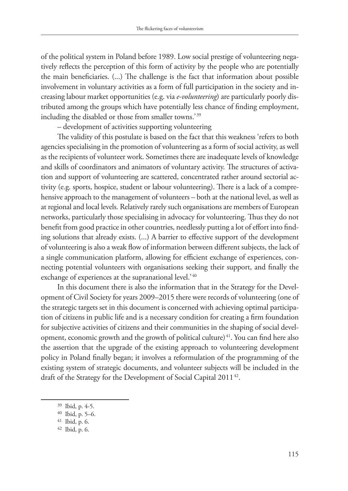of the political system in Poland before 1989. Low social prestige of volunteering negatively reflects the perception of this form of activity by the people who are potentially the main beneficiaries. (...) The challenge is the fact that information about possible involvement in voluntary activities as a form of full participation in the society and increasing labour market opportunities (e.g. via *e-volunteering*) are particularly poorly distributed among the groups which have potentially less chance of finding employment, including the disabled or those from smaller towns.<sup>'39</sup>

– development of activities supporting volunteering

The validity of this postulate is based on the fact that this weakness 'refers to both agencies specialising in the promotion of volunteering as a form of social activity, as well as the recipients of volunteer work. Sometimes there are inadequate levels of knowledge and skills of coordinators and animators of voluntary activity. The structures of activation and support of volunteering are scattered, concentrated rather around sectorial activity (e.g. sports, hospice, student or labour volunteering). There is a lack of a comprehensive approach to the management of volunteers – both at the national level, as well as at regional and local levels. Relatively rarely such organisations are members of European networks, particularly those specialising in advocacy for volunteering. Thus they do not benefit from good practice in other countries, needlessly putting a lot of effort into finding solutions that already exists. (...) A barrier to effective support of the development of volunteering is also a weak flow of information between different subjects, the lack of a single communication platform, allowing for efficient exchange of experiences, connecting potential volunteers with organisations seeking their support, and finally the exchange of experiences at the supranational level.<sup>'40</sup>

In this document there is also the information that in the Strategy for the Development of Civil Society for years 2009–2015 there were records of volunteering (one of the strategic targets set in this document is concerned with achieving optimal participation of citizens in public life and is a necessary condition for creating a firm foundation for subjective activities of citizens and their communities in the shaping of social development, economic growth and the growth of political culture)<sup>41</sup>. You can find here also the assertion that the upgrade of the existing approach to volunteering development policy in Poland finally began; it involves a reformulation of the programming of the existing system of strategic documents, and volunteer subjects will be included in the draft of the Strategy for the Development of Social Capital 2011<sup>42</sup>.

<sup>39</sup> Ibid, p. 4-5.

<sup>40</sup> Ibid, p. 5–6.

<sup>41</sup> Ibid, p. 6.

<sup>42</sup> Ibid, p. 6.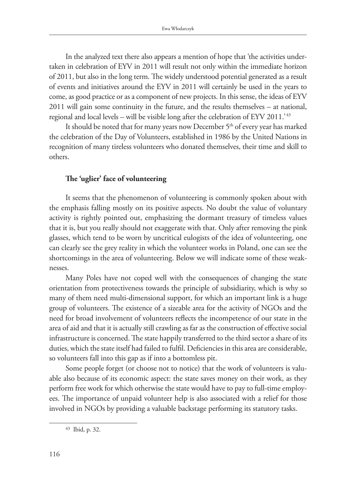In the analyzed text there also appears a mention of hope that 'the activities undertaken in celebration of EYV in 2011 will result not only within the immediate horizon of 2011, but also in the long term. The widely understood potential generated as a result of events and initiatives around the EYV in 2011 will certainly be used in the years to come, as good practice or as a component of new projects. In this sense, the ideas of EYV 2011 will gain some continuity in the future, and the results themselves – at national, regional and local levels – will be visible long after the celebration of EYV 2011.' 43

It should be noted that for many years now December 5<sup>th</sup> of every year has marked the celebration of the Day of Volunteers, established in 1986 by the United Nations in recognition of many tireless volunteers who donated themselves, their time and skill to others.

#### **The 'uglier' face of volunteering**

It seems that the phenomenon of volunteering is commonly spoken about with the emphasis falling mostly on its positive aspects. No doubt the value of voluntary activity is rightly pointed out, emphasizing the dormant treasury of timeless values that it is, but you really should not exaggerate with that. Only after removing the pink glasses, which tend to be worn by uncritical eulogists of the idea of volunteering, one can clearly see the grey reality in which the volunteer works in Poland, one can see the shortcomings in the area of volunteering. Below we will indicate some of these weaknesses.

Many Poles have not coped well with the consequences of changing the state orientation from protectiveness towards the principle of subsidiarity, which is why so many of them need multi-dimensional support, for which an important link is a huge group of volunteers. The existence of a sizeable area for the activity of NGOs and the need for broad involvement of volunteers reflects the incompetence of our state in the area of aid and that it is actually still crawling as far as the construction of effective social infrastructure is concerned. The state happily transferred to the third sector a share of its duties, which the state itself had failed to fulfil. Deficiencies in this area are considerable, so volunteers fall into this gap as if into a bottomless pit.

Some people forget (or choose not to notice) that the work of volunteers is valuable also because of its economic aspect: the state saves money on their work, as they perform free work for which otherwise the state would have to pay to full-time employees. The importance of unpaid volunteer help is also associated with a relief for those involved in NGOs by providing a valuable backstage performing its statutory tasks.

<sup>43</sup> Ibid, p. 32.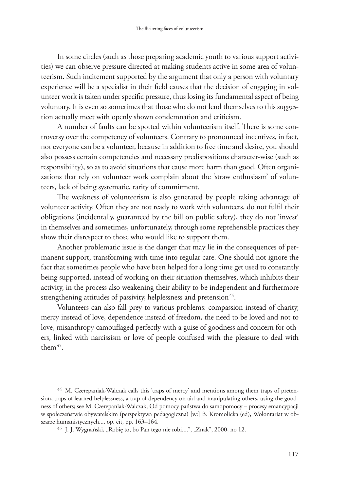In some circles (such as those preparing academic youth to various support activities) we can observe pressure directed at making students active in some area of volunteerism. Such incitement supported by the argument that only a person with voluntary experience will be a specialist in their field causes that the decision of engaging in volunteer work is taken under specific pressure, thus losing its fundamental aspect of being voluntary. It is even so sometimes that those who do not lend themselves to this suggestion actually meet with openly shown condemnation and criticism.

A number of faults can be spotted within volunteerism itself. There is some controversy over the competency of volunteers. Contrary to pronounced incentives, in fact, not everyone can be a volunteer, because in addition to free time and desire, you should also possess certain competencies and necessary predispositions character-wise (such as responsibility), so as to avoid situations that cause more harm than good. Often organizations that rely on volunteer work complain about the 'straw enthusiasm' of volunteers, lack of being systematic, rarity of commitment.

The weakness of volunteerism is also generated by people taking advantage of volunteer activity. Often they are not ready to work with volunteers, do not fulfil their obligations (incidentally, guaranteed by the bill on public safety), they do not 'invest' in themselves and sometimes, unfortunately, through some reprehensible practices they show their disrespect to those who would like to support them.

Another problematic issue is the danger that may lie in the consequences of permanent support, transforming with time into regular care. One should not ignore the fact that sometimes people who have been helped for a long time get used to constantly being supported, instead of working on their situation themselves, which inhibits their activity, in the process also weakening their ability to be independent and furthermore strengthening attitudes of passivity, helplessness and pretension<sup>44</sup>.

Volunteers can also fall prey to various problems: compassion instead of charity, mercy instead of love, dependence instead of freedom, the need to be loved and not to love, misanthropy camouflaged perfectly with a guise of goodness and concern for others, linked with narcissism or love of people confused with the pleasure to deal with them 45.

<sup>44</sup> M. Czerepaniak-Walczak calls this 'traps of mercy' and mentions among them traps of pretension, traps of learned helplessness, a trap of dependency on aid and manipulating others, using the goodness of others; see M. Czerepaniak-Walczak, Od pomocy państwa do samopomocy – procesy emancypacji w społeczeństwie obywatelskim (perspektywa pedagogiczna) [w:] B. Kromolicka (ed), Wolontariat w obszarze humanistycznych..., op. cit, pp. 163–164.

<sup>&</sup>lt;sup>45</sup> J. J. Wygnański, "Robię to, bo Pan tego nie robi....", "Znak", 2000, no 12.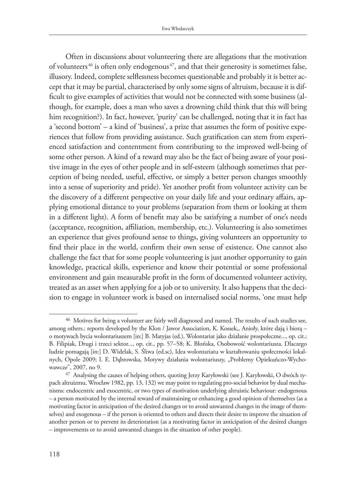Often in discussions about volunteering there are allegations that the motivation of volunteers<sup>46</sup> is often only endogenous<sup> $47$ </sup>, and that their generosity is sometimes false, illusory. Indeed, complete selflessness becomes questionable and probably it is better accept that it may be partial, characterised by only some signs of altruism, because it is difficult to give examples of activities that would not be connected with some business (although, for example, does a man who saves a drowning child think that this will bring him recognition?). In fact, however, 'purity' can be challenged, noting that it in fact has a 'second bottom' – a kind of 'business', a prize that assumes the form of positive experiences that follow from providing assistance. Such gratification can stem from experienced satisfaction and contentment from contributing to the improved well-being of some other person. A kind of a reward may also be the fact of being aware of your positive image in the eyes of other people and in self-esteem (although sometimes that perception of being needed, useful, effective, or simply a better person changes smoothly into a sense of superiority and pride). Yet another profit from volunteer activity can be the discovery of a different perspective on your daily life and your ordinary affairs, applying emotional distance to your problems (separation from them or looking at them in a different light). A form of benefit may also be satisfying a number of one's needs (acceptance, recognition, affiliation, membership, etc.). Volunteering is also sometimes an experience that gives profound sense to things, giving volunteers an opportunity to find their place in the world, confirm their own sense of existence. One cannot also challenge the fact that for some people volunteering is just another opportunity to gain knowledge, practical skills, experience and know their potential or some professional environment and gain measurable profit in the form of documented volunteer activity, treated as an asset when applying for a job or to university. It also happens that the decision to engage in volunteer work is based on internalised social norms, 'one must help

<sup>46</sup> Motives for being a volunteer are fairly well diagnosed and named. The results of such studies see, among others.: reports developed by the Klon / Jawor Association, K. Kossek,, Anioły, które dają i biorą – o motywach bycia wolontariuszem [in:] B. Matyjas (ed.), Wolontariat jako działanie prospołeczne..., op. cit.; B. Filipiak, Drugi i trzeci sektor..., op. cit., pp. 57–58; K. Błońska, Osobowość wolontariusza. Dlaczego ludzie pomagają [in:] D. Widelak, S. Śliwa (ed.sc), Idea wolontariatu w kształtowaniu społeczności lokalnych, Opole 2009; I. E. Dąbrowska, Motywy działania wolontariuszy, "Problemy Opiekuńczo-Wychowawcze", 2007, no 9.

<sup>47</sup> Analysing the causes of helping others, quoting Jerzy Karyłowski (see J. Karyłowski, O dwóch typach altruizmu, Wrocław 1982, pp. 13, 132) we may point to regulating pro-social behavior by dual mechanisms: endocentric and exocentric, or two types of motivation underlying altruistic behaviour: endogenous – a person motivated by the internal reward of maintaining or enhancing a good opinion of themselves (as a motivating factor in anticipation of the desired changes or to avoid unwanted changes in the image of themselves) and exogenous – if the person is oriented to others and directs their desire to improve the situation of another person or to prevent its deterioration (as a motivating factor in anticipation of the desired changes – improvements or to avoid unwanted changes in the situation of other people).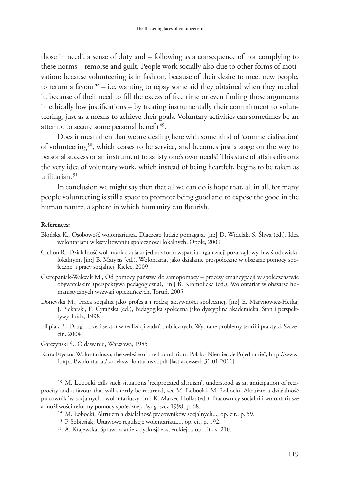those in need', a sense of duty and – following as a consequence of not complying to these norms – remorse and guilt. People work socially also due to other forms of motivation: because volunteering is in fashion, because of their desire to meet new people, to return a favour $48 - i.e.$  wanting to repay some aid they obtained when they needed it, because of their need to fill the excess of free time or even finding those arguments in ethically low justifications – by treating instrumentally their commitment to volunteering, just as a means to achieve their goals. Voluntary activities can sometimes be an attempt to secure some personal benefit<sup>49</sup>.

Does it mean then that we are dealing here with some kind of 'commercialisation' of volunteering 50, which ceases to be service, and becomes just a stage on the way to personal success or an instrument to satisfy one's own needs? This state of affairs distorts the very idea of voluntary work, which instead of being heartfelt, begins to be taken as utilitarian. 51

In conclusion we might say then that all we can do is hope that, all in all, for many people volunteering is still a space to promote being good and to expose the good in the human nature, a sphere in which humanity can flourish.

#### **References:**

- Błońska K., Osobowość wolontariusza. Dlaczego ludzie pomagają, [in:] D. Widelak, S. Śliwa (ed.), Idea wolontariatu w kształtowaniu społeczności lokalnych, Opole, 2009
- Cichoń R., Działalność wolontariacka jako jedna z form wsparcia organizacji pozarządowych w środowisku lokalnym, [in:] B. Matyjas (ed.), Wolontariat jako działanie prospołeczne w obszarze pomocy społecznej i pracy socjalnej, Kielce, 2009
- Czerepaniak-Walczak M., Od pomocy państwa do samopomocy procesy emancypacji w społeczeństwie obywatelskim (perspektywa pedagogiczna), [in:] B. Kromolicka (ed.), Wolontariat w obszarze humanistycznych wyzwań opiekuńczych, Toruń, 2005
- Donevska M., Praca socjalna jako profesja i rodzaj aktywności społecznej, [in:] E. Marynowicz-Hetka, J. Piekarski, E. Cyrańska (ed.), Pedagogika społeczna jako dyscyplina akademicka. Stan i perspektywy, Łódź, 1998
- Filipiak B., Drugi i trzeci sektor w realizacji zadań publicznych. Wybrane problemy teorii i praktyki, Szczecin, 2004
- Garczyński S., O dawaniu, Warszawa, 1985
- Karta Etyczna Wolontariusza, the website of the Foundation "Polsko-Niemieckie Pojednanie", http://www. fpnp.pl/wolontariat/kodekswolontariusza.pdf [last accessed: 31.01.2011]

<sup>48</sup> M. Łobocki calls such situations 'reciprocated altruism', understood as an anticipation of reciprocity and a favour that will shortly be returned, see M. Łobocki, M. Łobocki, Altruizm a działalność pracowników socjalnych i wolontariuszy [in:] K. Marzec-Holka (ed.), Pracownicy socjalni i wolontariusze a możliwości reformy pomocy społecznej, Bydgoszcz 1998, p. 68.

<sup>49</sup> M. Łobocki, Altruizm a działalność pracowników socjalnych..., op. cit., p. 59.

<sup>50</sup> P. Sobiesiak, Ustawowe regulacje wolontariatu..., op. cit, p. 192.

<sup>51</sup> A. Krajewska, Sprawozdanie z dyskusji eksperckiej..., op. cit., s. 210.